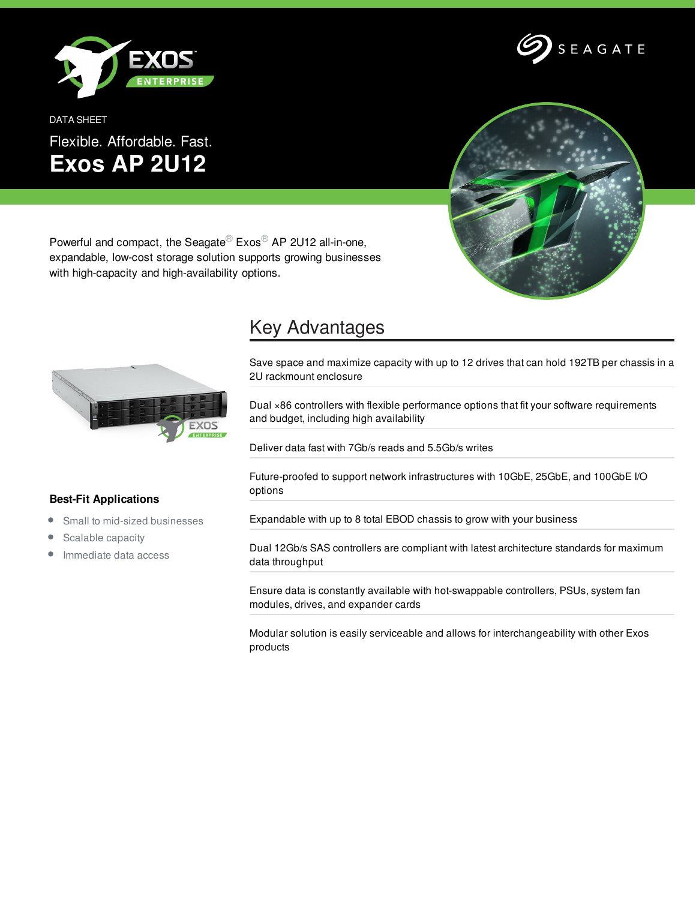

DATA SHEET Flexible. Affordable. Fast. **Exos AP 2U12**



Powerful and compact, the Seagate<sup>®</sup> Exos<sup>®</sup> AP 2U12 all-in-one, expandable, low-cost storage solution supports growing businesses with high-capacity and high-availability options.



## Key Advantages

Save space and maximize capacity with up to 12 drives that can hold 192TB per chassis in a 2U rackmount enclosure

Dual ×86 controllers with flexible performance options that fit your software requirements and budget, including high availability

Deliver data fast with 7Gb/s reads and 5.5Gb/s writes

Future-proofed to support network infrastructures with 10GbE, 25GbE, and 100GbE I/O options

Expandable with up to 8 total EBOD chassis to grow with your business

Dual 12Gb/s SAS controllers are compliant with latest architecture standards for maximum data throughput

Ensure data is constantly available with hot-swappable controllers, PSUs, system fan modules, drives, and expander cards

Modular solution is easily serviceable and allows for interchangeability with other Exos products

## **Best-Fit Applications**

- $\bullet$ Small to mid-sized businesses
- Scalable capacity  $\bullet$
- Immediate data access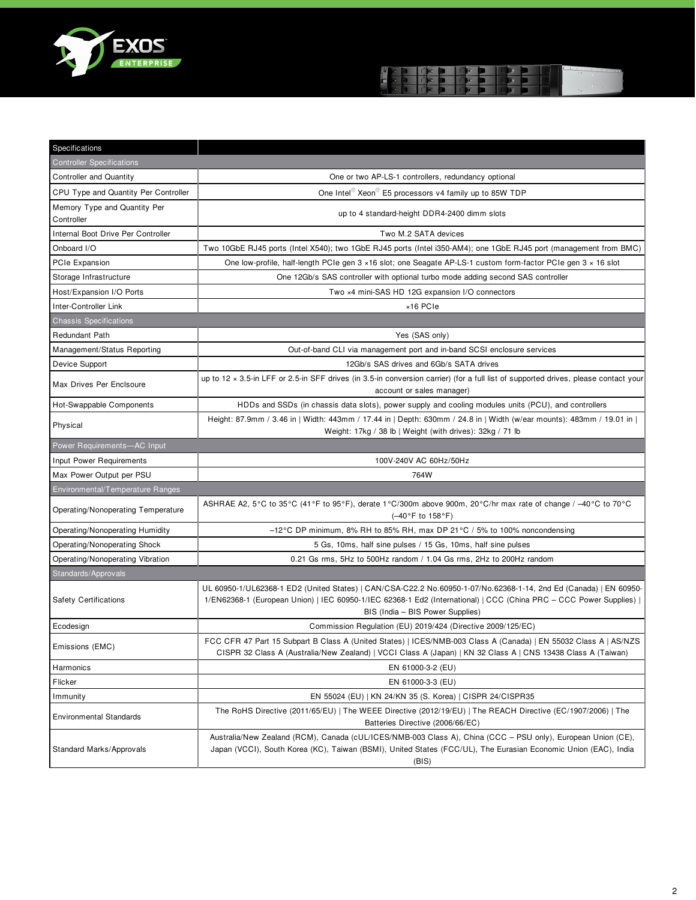



| Specifications                             |                                                                                                                                                                                                                                                                              |
|--------------------------------------------|------------------------------------------------------------------------------------------------------------------------------------------------------------------------------------------------------------------------------------------------------------------------------|
| <b>Controller Specifications</b>           |                                                                                                                                                                                                                                                                              |
| <b>Controller and Quantity</b>             | One or two AP-LS-1 controllers, redundancy optional                                                                                                                                                                                                                          |
| CPU Type and Quantity Per Controller       | One Intel $\mathbb{R}^{\infty}$ Xeon E5 processors v4 family up to 85W TDP                                                                                                                                                                                                   |
| Memory Type and Quantity Per<br>Controller | up to 4 standard-height DDR4-2400 dimm slots                                                                                                                                                                                                                                 |
| Internal Boot Drive Per Controller         | Two M.2 SATA devices                                                                                                                                                                                                                                                         |
| Onboard I/O                                | Two 10GbE RJ45 ports (Intel X540); two 1GbE RJ45 ports (Intel i350-AM4); one 1GbE RJ45 port (management from BMC)                                                                                                                                                            |
| PCIe Expansion                             | One low-profile, half-length PCIe gen 3 x16 slot; one Seagate AP-LS-1 custom form-factor PCIe gen 3 x 16 slot                                                                                                                                                                |
| Storage Infrastructure                     | One 12Gb/s SAS controller with optional turbo mode adding second SAS controller                                                                                                                                                                                              |
| Host/Expansion I/O Ports                   | Two x4 mini-SAS HD 12G expansion I/O connectors                                                                                                                                                                                                                              |
| Inter-Controller Link                      | ×16 PCIe                                                                                                                                                                                                                                                                     |
| <b>Chassis Specifications</b>              |                                                                                                                                                                                                                                                                              |
| <b>Redundant Path</b>                      | Yes (SAS only)                                                                                                                                                                                                                                                               |
| Management/Status Reporting                | Out-of-band CLI via management port and in-band SCSI enclosure services                                                                                                                                                                                                      |
| Device Support                             | 12Gb/s SAS drives and 6Gb/s SATA drives                                                                                                                                                                                                                                      |
| Max Drives Per Enclsoure                   | up to 12 $\times$ 3.5-in LFF or 2.5-in SFF drives (in 3.5-in conversion carrier) (for a full list of supported drives, please contact your<br>account or sales manager)                                                                                                      |
| Hot-Swappable Components                   | HDDs and SSDs (in chassis data slots), power supply and cooling modules units (PCU), and controllers                                                                                                                                                                         |
| Physical                                   | Height: 87.9mm / 3.46 in   Width: 443mm / 17.44 in   Depth: 630mm / 24.8 in   Width (w/ear mounts): 483mm / 19.01 in  <br>Weight: 17kg / 38 lb   Weight (with drives): 32kg / 71 lb                                                                                          |
| Power Requirements-AC Input                |                                                                                                                                                                                                                                                                              |
| Input Power Requirements                   | 100V-240V AC 60Hz/50Hz                                                                                                                                                                                                                                                       |
| Max Power Output per PSU                   | 764W                                                                                                                                                                                                                                                                         |
| Environmental/Temperature Ranges           |                                                                                                                                                                                                                                                                              |
| Operating/Nonoperating Temperature         | ASHRAE A2, 5°C to 35°C (41°F to 95°F), derate 1°C/300m above 900m, 20°C/hr max rate of change / -40°C to 70°C<br>(-40°F to 158°F)                                                                                                                                            |
| Operating/Nonoperating Humidity            | -12°C DP minimum, 8% RH to 85% RH, max DP 21°C / 5% to 100% noncondensing                                                                                                                                                                                                    |
| Operating/Nonoperating Shock               | 5 Gs, 10ms, half sine pulses / 15 Gs, 10ms, half sine pulses                                                                                                                                                                                                                 |
| Operating/Nonoperating Vibration           | 0.21 Gs rms, 5Hz to 500Hz random / 1.04 Gs rms, 2Hz to 200Hz random                                                                                                                                                                                                          |
| Standards/Approvals                        |                                                                                                                                                                                                                                                                              |
| <b>Safety Certifications</b>               | UL 60950-1/UL62368-1 ED2 (United States)   CAN/CSA-C22.2 No.60950-1-07/No.62368-1-14, 2nd Ed (Canada)   EN 60950-<br>1/EN62368-1 (European Union)   IEC 60950-1/IEC 62368-1 Ed2 (International)   CCC (China PRC - CCC Power Supplies)  <br>BIS (India - BIS Power Supplies) |
| Ecodesign                                  | Commission Regulation (EU) 2019/424 (Directive 2009/125/EC)                                                                                                                                                                                                                  |
| Emissions (EMC)                            | FCC CFR 47 Part 15 Subpart B Class A (United States)   ICES/NMB-003 Class A (Canada)   EN 55032 Class A   AS/NZS<br>CISPR 32 Class A (Australia/New Zealand)   VCCI Class A (Japan)   KN 32 Class A   CNS 13438 Class A (Taiwan)                                             |
| Harmonics                                  | EN 61000-3-2 (EU)                                                                                                                                                                                                                                                            |
| Flicker                                    | EN 61000-3-3 (EU)                                                                                                                                                                                                                                                            |
| Immunity                                   | EN 55024 (EU)   KN 24/KN 35 (S. Korea)   CISPR 24/CISPR35                                                                                                                                                                                                                    |
| <b>Environmental Standards</b>             | The RoHS Directive (2011/65/EU)   The WEEE Directive (2012/19/EU)   The REACH Directive (EC/1907/2006)   The<br>Batteries Directive (2006/66/EC)                                                                                                                             |
|                                            |                                                                                                                                                                                                                                                                              |